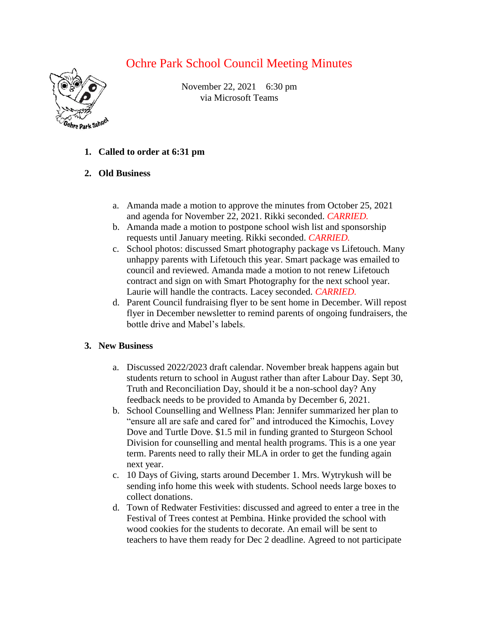## Ochre Park School Council Meeting Minutes



November 22, 2021 6:30 pm via Microsoft Teams

- **1. Called to order at 6:31 pm**
- **2. Old Business**
	- a. Amanda made a motion to approve the minutes from October 25, 2021 and agenda for November 22, 2021. Rikki seconded. *CARRIED.*
	- b. Amanda made a motion to postpone school wish list and sponsorship requests until January meeting. Rikki seconded. *CARRIED.*
	- c. School photos: discussed Smart photography package vs Lifetouch. Many unhappy parents with Lifetouch this year. Smart package was emailed to council and reviewed. Amanda made a motion to not renew Lifetouch contract and sign on with Smart Photography for the next school year. Laurie will handle the contracts. Lacey seconded. *CARRIED.*
	- d. Parent Council fundraising flyer to be sent home in December. Will repost flyer in December newsletter to remind parents of ongoing fundraisers, the bottle drive and Mabel's labels.

## **3. New Business**

- a. Discussed 2022/2023 draft calendar. November break happens again but students return to school in August rather than after Labour Day. Sept 30, Truth and Reconciliation Day, should it be a non-school day? Any feedback needs to be provided to Amanda by December 6, 2021.
- b. School Counselling and Wellness Plan: Jennifer summarized her plan to "ensure all are safe and cared for" and introduced the Kimochis, Lovey Dove and Turtle Dove. \$1.5 mil in funding granted to Sturgeon School Division for counselling and mental health programs. This is a one year term. Parents need to rally their MLA in order to get the funding again next year.
- c. 10 Days of Giving, starts around December 1. Mrs. Wytrykush will be sending info home this week with students. School needs large boxes to collect donations.
- d. Town of Redwater Festivities: discussed and agreed to enter a tree in the Festival of Trees contest at Pembina. Hinke provided the school with wood cookies for the students to decorate. An email will be sent to teachers to have them ready for Dec 2 deadline. Agreed to not participate